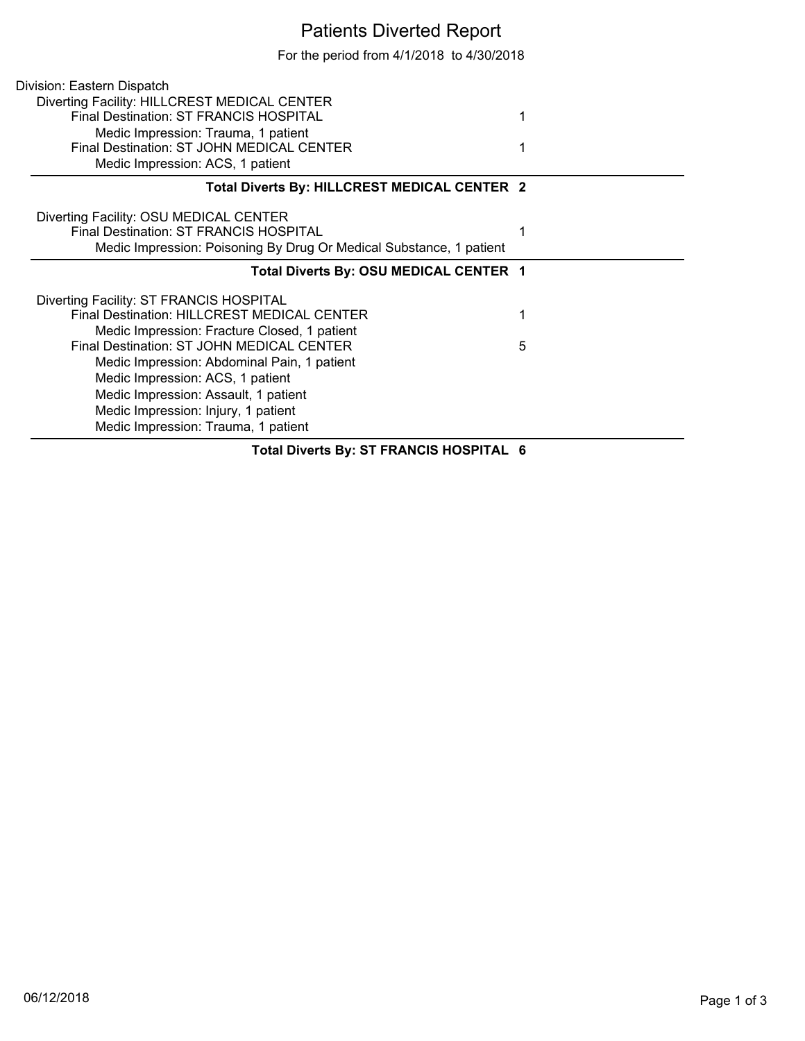## Patients Diverted Report

For the period from 4/1/2018 to 4/30/2018

| Division: Eastern Dispatch                                          |   |
|---------------------------------------------------------------------|---|
| Diverting Facility: HILLCREST MEDICAL CENTER                        |   |
| Final Destination: ST FRANCIS HOSPITAL                              |   |
| Medic Impression: Trauma, 1 patient                                 |   |
| Final Destination: ST JOHN MEDICAL CENTER                           |   |
| Medic Impression: ACS, 1 patient                                    |   |
| Total Diverts By: HILLCREST MEDICAL CENTER 2                        |   |
| Diverting Facility: OSU MEDICAL CENTER                              |   |
| Final Destination: ST FRANCIS HOSPITAL                              |   |
| Medic Impression: Poisoning By Drug Or Medical Substance, 1 patient |   |
| Total Diverts By: OSU MEDICAL CENTER 1                              |   |
| Diverting Facility: ST FRANCIS HOSPITAL                             |   |
| Final Destination: HILLCREST MEDICAL CENTER                         | 1 |
| Medic Impression: Fracture Closed, 1 patient                        |   |
| Final Destination: ST JOHN MEDICAL CENTER                           | 5 |
| Medic Impression: Abdominal Pain, 1 patient                         |   |
| Medic Impression: ACS, 1 patient                                    |   |
| Medic Impression: Assault, 1 patient                                |   |
| Medic Impression: Injury, 1 patient                                 |   |
| Medic Impression: Trauma, 1 patient                                 |   |
| 27.5                                                                |   |

**Total Diverts By: ST FRANCIS HOSPITAL 6**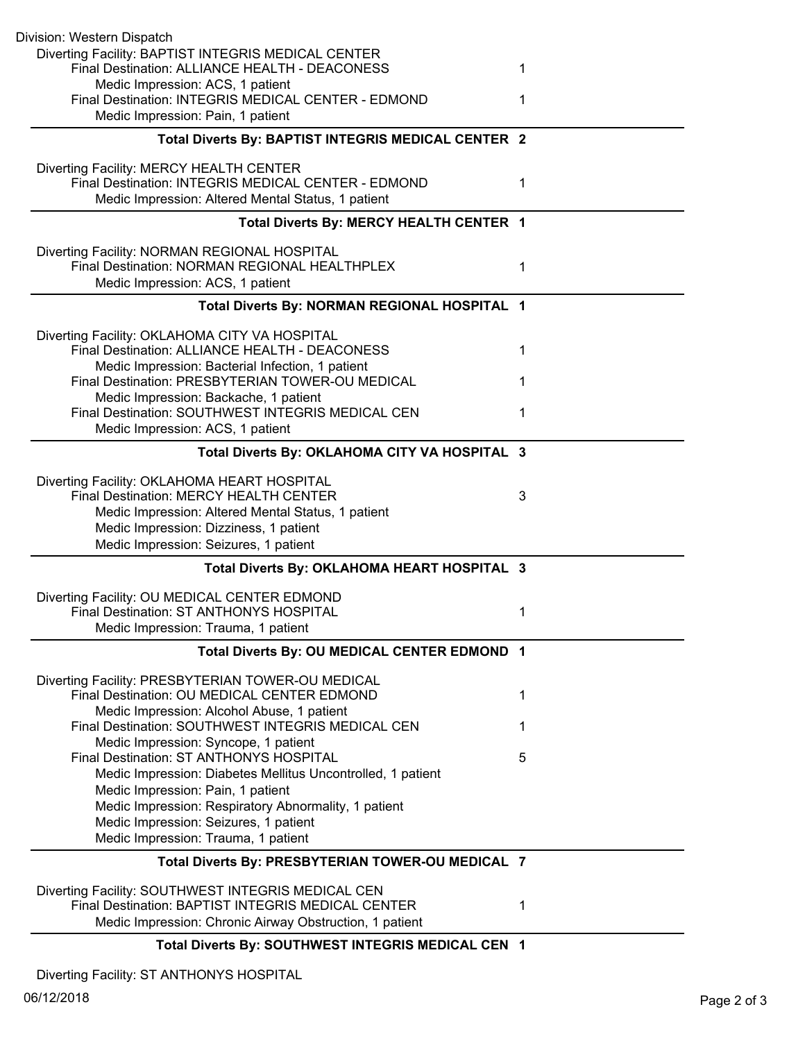| Division: Western Dispatch                                                            |   |
|---------------------------------------------------------------------------------------|---|
| Diverting Facility: BAPTIST INTEGRIS MEDICAL CENTER                                   |   |
| Final Destination: ALLIANCE HEALTH - DEACONESS                                        | 1 |
| Medic Impression: ACS, 1 patient                                                      |   |
| Final Destination: INTEGRIS MEDICAL CENTER - EDMOND                                   | 1 |
| Medic Impression: Pain, 1 patient                                                     |   |
|                                                                                       |   |
| Total Diverts By: BAPTIST INTEGRIS MEDICAL CENTER 2                                   |   |
|                                                                                       |   |
| Diverting Facility: MERCY HEALTH CENTER                                               |   |
| Final Destination: INTEGRIS MEDICAL CENTER - EDMOND                                   | 1 |
| Medic Impression: Altered Mental Status, 1 patient                                    |   |
| Total Diverts By: MERCY HEALTH CENTER 1                                               |   |
|                                                                                       |   |
| Diverting Facility: NORMAN REGIONAL HOSPITAL                                          |   |
| Final Destination: NORMAN REGIONAL HEALTHPLEX                                         | 1 |
| Medic Impression: ACS, 1 patient                                                      |   |
| Total Diverts By: NORMAN REGIONAL HOSPITAL 1                                          |   |
|                                                                                       |   |
| Diverting Facility: OKLAHOMA CITY VA HOSPITAL                                         |   |
| Final Destination: ALLIANCE HEALTH - DEACONESS                                        | 1 |
| Medic Impression: Bacterial Infection, 1 patient                                      |   |
| Final Destination: PRESBYTERIAN TOWER-OU MEDICAL                                      | 1 |
| Medic Impression: Backache, 1 patient                                                 |   |
| Final Destination: SOUTHWEST INTEGRIS MEDICAL CEN                                     | 1 |
| Medic Impression: ACS, 1 patient                                                      |   |
|                                                                                       |   |
| Total Diverts By: OKLAHOMA CITY VA HOSPITAL 3                                         |   |
|                                                                                       |   |
| Diverting Facility: OKLAHOMA HEART HOSPITAL<br>Final Destination: MERCY HEALTH CENTER | 3 |
|                                                                                       |   |
| Medic Impression: Altered Mental Status, 1 patient                                    |   |
| Medic Impression: Dizziness, 1 patient                                                |   |
| Medic Impression: Seizures, 1 patient                                                 |   |
| Total Diverts By: OKLAHOMA HEART HOSPITAL 3                                           |   |
|                                                                                       |   |
| Diverting Facility: OU MEDICAL CENTER EDMOND                                          |   |
| Final Destination: ST ANTHONYS HOSPITAL                                               | 1 |
| Medic Impression: Trauma, 1 patient                                                   |   |
| Total Diverts By: OU MEDICAL CENTER EDMOND 1                                          |   |
|                                                                                       |   |
| Diverting Facility: PRESBYTERIAN TOWER-OU MEDICAL                                     |   |
| Final Destination: OU MEDICAL CENTER EDMOND                                           | 1 |
| Medic Impression: Alcohol Abuse, 1 patient                                            |   |
| Final Destination: SOUTHWEST INTEGRIS MEDICAL CEN                                     | 1 |
| Medic Impression: Syncope, 1 patient                                                  |   |
| Final Destination: ST ANTHONYS HOSPITAL                                               | 5 |
| Medic Impression: Diabetes Mellitus Uncontrolled, 1 patient                           |   |
| Medic Impression: Pain, 1 patient                                                     |   |
| Medic Impression: Respiratory Abnormality, 1 patient                                  |   |
| Medic Impression: Seizures, 1 patient                                                 |   |
| Medic Impression: Trauma, 1 patient                                                   |   |
| Total Diverts By: PRESBYTERIAN TOWER-OU MEDICAL 7                                     |   |
|                                                                                       |   |
| Diverting Facility: SOUTHWEST INTEGRIS MEDICAL CEN                                    |   |
| Final Destination: BAPTIST INTEGRIS MEDICAL CENTER                                    | 1 |
| Medic Impression: Chronic Airway Obstruction, 1 patient                               |   |
|                                                                                       |   |
| Total Diverts By: SOUTHWEST INTEGRIS MEDICAL CEN 1                                    |   |
|                                                                                       |   |